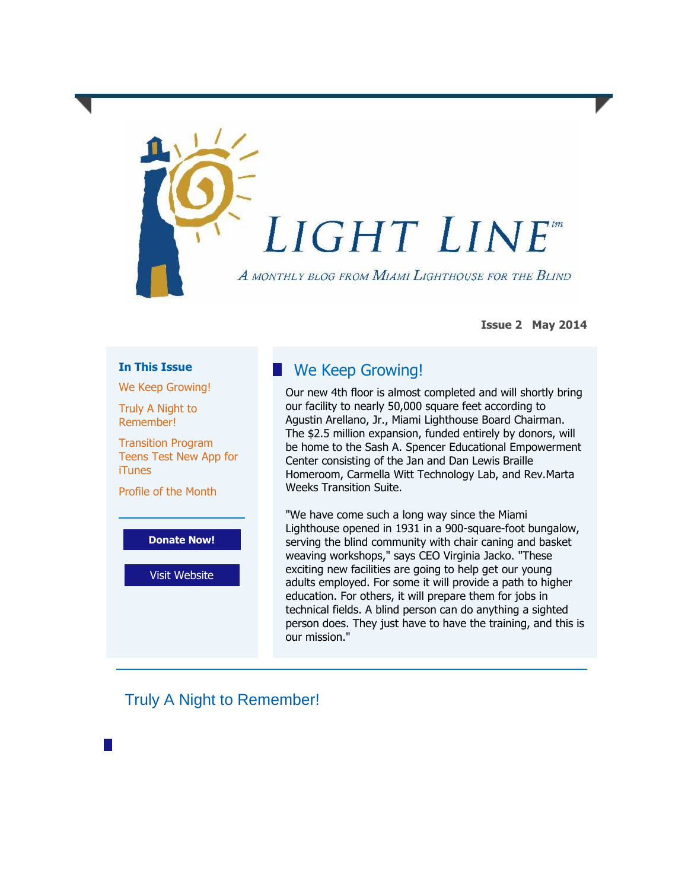

**Issue 2 May 2014**

## **In This Issue**

[We Keep Growing!](https://ui.constantcontact.com/visualeditor/visual_editor_preview.jsp?agent.uid=1117242465091#LETTER.BLOCK12)

[Truly A Night to](https://ui.constantcontact.com/visualeditor/visual_editor_preview.jsp?agent.uid=1117242465091#LETTER.BLOCK36)  [Remember!](https://ui.constantcontact.com/visualeditor/visual_editor_preview.jsp?agent.uid=1117242465091#LETTER.BLOCK36)

[Transition Program](https://ui.constantcontact.com/visualeditor/visual_editor_preview.jsp?agent.uid=1117242465091#LETTER.BLOCK52)  [Teens Test New App for](https://ui.constantcontact.com/visualeditor/visual_editor_preview.jsp?agent.uid=1117242465091#LETTER.BLOCK52)  **[iTunes](https://ui.constantcontact.com/visualeditor/visual_editor_preview.jsp?agent.uid=1117242465091#LETTER.BLOCK52)** 

[Profile of the Month](https://ui.constantcontact.com/visualeditor/visual_editor_preview.jsp?agent.uid=1117242465091#LETTER.BLOCK41)



[Visit Website](http://r20.rs6.net/tn.jsp?e=001Zp9KMRwamf2ozKnXr822fQKb00p_Ut5klXKBXPkGpGEy5IogHzG8e4wTLtkpRF85peZTtqDpfFjHjtHvgkEnIU4gulMniNrOYKikA5JiNt5YHC2tJ-6bHw==)

## **We Keep Growing!**

Our new 4th floor is almost completed and will shortly bring our facility to nearly 50,000 square feet according to Agustin Arellano, Jr., Miami Lighthouse Board Chairman. The \$2.5 million expansion, funded entirely by donors, will be home to the Sash A. Spencer Educational Empowerment Center consisting of the Jan and Dan Lewis Braille Homeroom, Carmella Witt Technology Lab, and Rev.Marta Weeks Transition Suite.

"We have come such a long way since the Miami Lighthouse opened in 1931 in a 900-square-foot bungalow, serving the blind community with chair caning and basket weaving workshops," says CEO Virginia Jacko. "These exciting new facilities are going to help get our young adults employed. For some it will provide a path to higher education. For others, it will prepare them for jobs in technical fields. A blind person can do anything a sighted person does. They just have to have the training, and this is our mission."

## Truly A Night to Remember!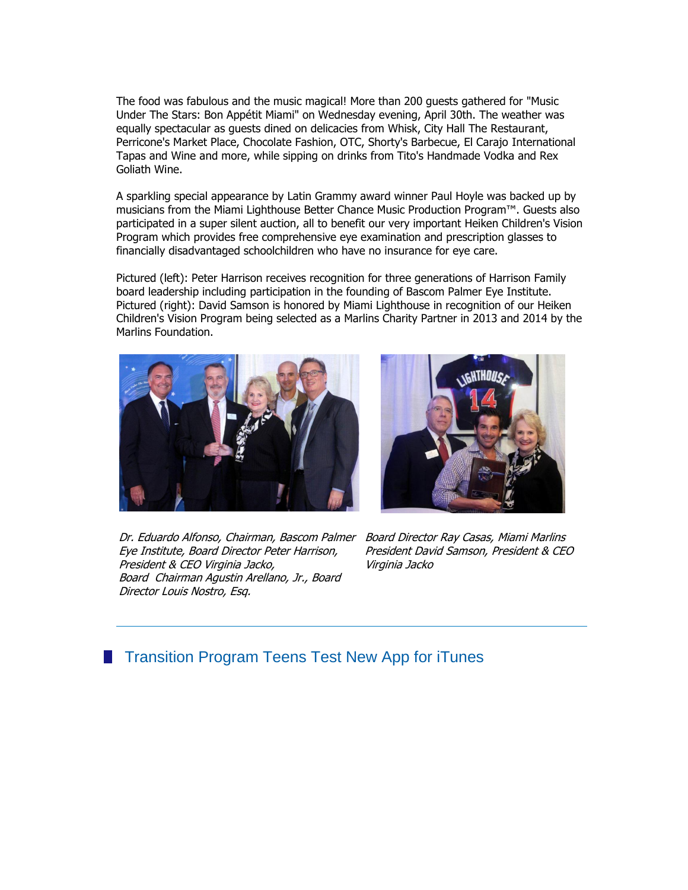The food was fabulous and the music magical! More than 200 guests gathered for "Music Under The Stars: Bon Appétit Miami" on Wednesday evening, April 30th. The weather was equally spectacular as guests dined on delicacies from Whisk, City Hall The Restaurant, Perricone's Market Place, Chocolate Fashion, OTC, Shorty's Barbecue, El Carajo International Tapas and Wine and more, while sipping on drinks from Tito's Handmade Vodka and Rex Goliath Wine.

A sparkling special appearance by Latin Grammy award winner Paul Hoyle was backed up by musicians from the Miami Lighthouse Better Chance Music Production Program™. Guests also participated in a super silent auction, all to benefit our very important Heiken Children's Vision Program which provides free comprehensive eye examination and prescription glasses to financially disadvantaged schoolchildren who have no insurance for eye care.

Pictured (left): Peter Harrison receives recognition for three generations of Harrison Family board leadership including participation in the founding of Bascom Palmer Eye Institute. Pictured (right): David Samson is honored by Miami Lighthouse in recognition of our Heiken Children's Vision Program being selected as a Marlins Charity Partner in 2013 and 2014 by the Marlins Foundation.





Dr. Eduardo Alfonso, Chairman, Bascom Palmer Board Director Ray Casas, Miami Marlins Eye Institute, Board Director Peter Harrison, President & CEO Virginia Jacko, Board Chairman Agustin Arellano, Jr., Board Director Louis Nostro, Esq.

President David Samson, President & CEO Virginia Jacko

## **The Transition Program Teens Test New App for iTunes**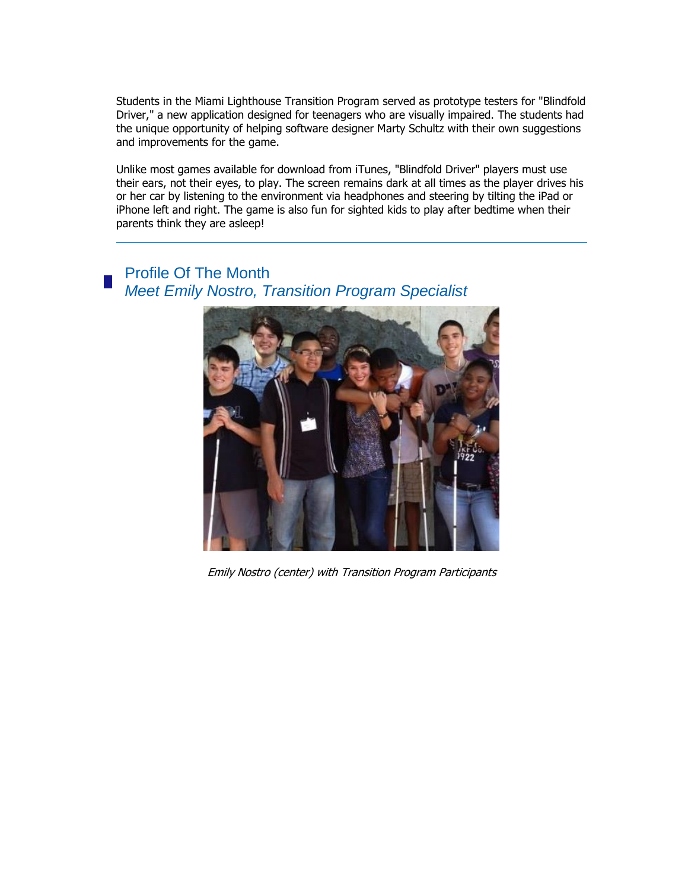Students in the Miami Lighthouse Transition Program served as prototype testers for "Blindfold Driver," a new application designed for teenagers who are visually impaired. The students had the unique opportunity of helping software designer Marty Schultz with their own suggestions and improvements for the game.

Unlike most games available for download from iTunes, "Blindfold Driver" players must use their ears, not their eyes, to play. The screen remains dark at all times as the player drives his or her car by listening to the environment via headphones and steering by tilting the iPad or iPhone left and right. The game is also fun for sighted kids to play after bedtime when their parents think they are asleep!

Profile Of The Month *Meet Emily Nostro, Transition Program Specialist*



Emily Nostro (center) with Transition Program Participants